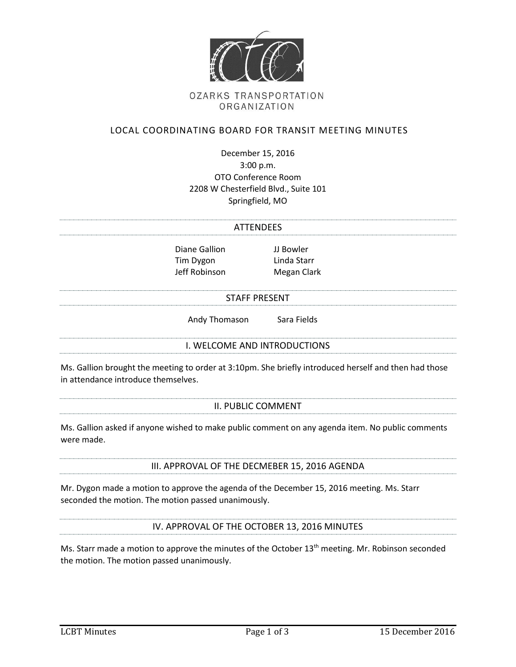

# **OZARKS TRANSPORTATION** ORGANIZATION

# LOCAL COORDINATING BOARD FOR TRANSIT MEETING MINUTES

December 15, 2016 3:00 p.m. OTO Conference Room 2208 W Chesterfield Blvd., Suite 101 Springfield, MO

#### **ATTENDEES**

Diane Gallion JJ Bowler Tim Dygon Linda Starr Jeff Robinson Megan Clark

#### STAFF PRESENT

Andy Thomason Sara Fields

#### I. WELCOME AND INTRODUCTIONS

Ms. Gallion brought the meeting to order at 3:10pm. She briefly introduced herself and then had those in attendance introduce themselves.

#### II. PUBLIC COMMENT

Ms. Gallion asked if anyone wished to make public comment on any agenda item. No public comments were made.

## III. APPROVAL OF THE DECMEBER 15, 2016 AGENDA

Mr. Dygon made a motion to approve the agenda of the December 15, 2016 meeting. Ms. Starr seconded the motion. The motion passed unanimously.

IV. APPROVAL OF THE OCTOBER 13, 2016 MINUTES

Ms. Starr made a motion to approve the minutes of the October 13<sup>th</sup> meeting. Mr. Robinson seconded the motion. The motion passed unanimously.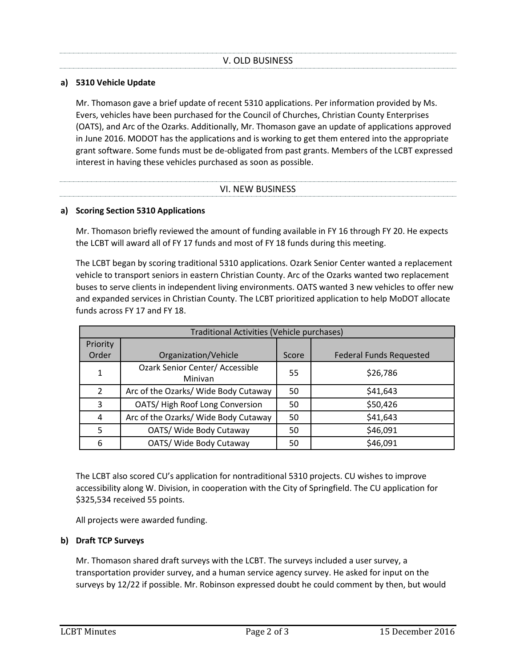## **a) 5310 Vehicle Update**

Mr. Thomason gave a brief update of recent 5310 applications. Per information provided by Ms. Evers, vehicles have been purchased for the Council of Churches, Christian County Enterprises (OATS), and Arc of the Ozarks. Additionally, Mr. Thomason gave an update of applications approved in June 2016. MODOT has the applications and is working to get them entered into the appropriate grant software. Some funds must be de-obligated from past grants. Members of the LCBT expressed interest in having these vehicles purchased as soon as possible.

## VI. NEW BUSINESS

### **a) Scoring Section 5310 Applications**

Mr. Thomason briefly reviewed the amount of funding available in FY 16 through FY 20. He expects the LCBT will award all of FY 17 funds and most of FY 18 funds during this meeting.

The LCBT began by scoring traditional 5310 applications. Ozark Senior Center wanted a replacement vehicle to transport seniors in eastern Christian County. Arc of the Ozarks wanted two replacement buses to serve clients in independent living environments. OATS wanted 3 new vehicles to offer new and expanded services in Christian County. The LCBT prioritized application to help MoDOT allocate funds across FY 17 and FY 18.

| Traditional Activities (Vehicle purchases) |                                                   |       |                                |
|--------------------------------------------|---------------------------------------------------|-------|--------------------------------|
| Priority                                   |                                                   |       |                                |
| Order                                      | Organization/Vehicle                              | Score | <b>Federal Funds Requested</b> |
|                                            | <b>Ozark Senior Center/ Accessible</b><br>Minivan | 55    | \$26,786                       |
| $\overline{2}$                             | Arc of the Ozarks/ Wide Body Cutaway              | 50    | \$41,643                       |
| 3                                          | OATS/High Roof Long Conversion                    | 50    | \$50,426                       |
| 4                                          | Arc of the Ozarks/ Wide Body Cutaway              | 50    | \$41,643                       |
| 5                                          | OATS/ Wide Body Cutaway                           | 50    | \$46,091                       |
| 6                                          | OATS/ Wide Body Cutaway                           | 50    | \$46,091                       |

The LCBT also scored CU's application for nontraditional 5310 projects. CU wishes to improve accessibility along W. Division, in cooperation with the City of Springfield. The CU application for \$325,534 received 55 points.

All projects were awarded funding.

## **b) Draft TCP Surveys**

Mr. Thomason shared draft surveys with the LCBT. The surveys included a user survey, a transportation provider survey, and a human service agency survey. He asked for input on the surveys by 12/22 if possible. Mr. Robinson expressed doubt he could comment by then, but would